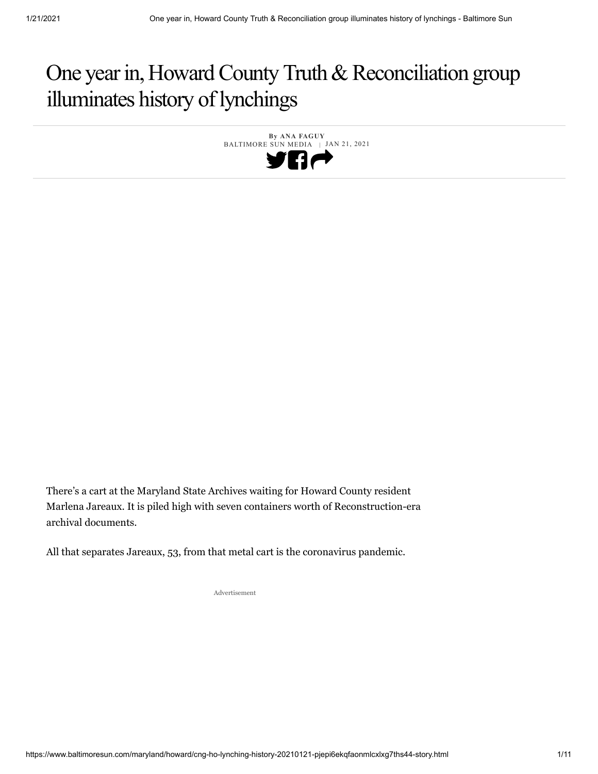# One year in, Howard County Truth & Reconciliation group illuminates history of lynchings

 **By ANA FAGUY** BALTIMORE SUN MEDIA | JAN 21, 2021 Пe

There's a cart at the Maryland State Archives waiting for Howard County resident Marlena Jareaux. It is piled high with seven containers worth of Reconstruction-era archival documents.

All that separates Jareaux, 53, from that metal cart is the coronavirus pandemic.

Advertisement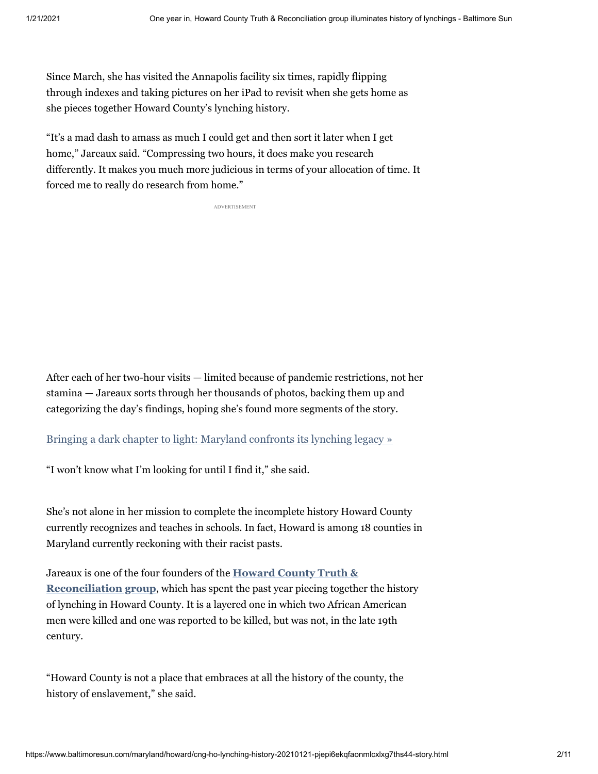Since March, she has visited the Annapolis facility six times, rapidly flipping through indexes and taking pictures on her iPad to revisit when she gets home as she pieces together Howard County's lynching history.

"It's a mad dash to amass as much I could get and then sort it later when I get home," Jareaux said. "Compressing two hours, it does make you research differently. It makes you much more judicious in terms of your allocation of time. It forced me to really do research from home."

ADVERTISEMENT

After each of her two-hour visits — limited because of pandemic restrictions, not her stamina — Jareaux sorts through her thousands of photos, backing them up and categorizing the day's findings, hoping she's found more segments of the story.

#### [Bringing a dark chapter to light: Maryland confronts its lynching legacy »](https://www.baltimoresun.com/maryland/bs-md-lynching-in-maryland-20180919-htmlstory.html#nt=interstitial-manual)

"I won't know what I'm looking for until I find it," she said.

She's not alone in her mission to complete the incomplete history Howard County currently recognizes and teaches in schools. In fact, Howard is among 18 counties in Maryland currently reckoning with their racist pasts.

Jareaux is one of the four founders of the **Howard County Truth & Reconciliation group**[, which has spent the past year piecing togeth](http://www.hocoltr.org/)er the history of lynching in Howard County. It is a layered one in which two African American men were killed and one was reported to be killed, but was not, in the late 19th century.

"Howard County is not a place that embraces at all the history of the county, the history of enslavement," she said.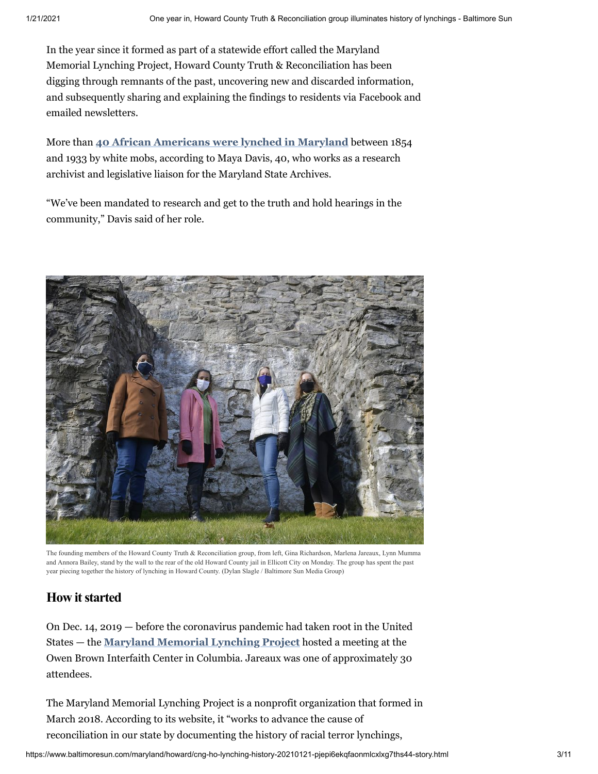In the year since it formed as part of a statewide effort called the Maryland Memorial Lynching Project, Howard County Truth & Reconciliation has been digging through remnants of the past, uncovering new and discarded information, and subsequently sharing and explaining the findings to residents via Facebook and emailed newsletters.

More than **[40 African Americans were lynched in Maryland](https://news.baltimoresun.com/maryland-lynchings/)** between 1854 and 1933 by white mobs, according to Maya Davis, 40, who works as a research archivist and legislative liaison for the Maryland State Archives.

"We've been mandated to research and get to the truth and hold hearings in the community," Davis said of her role.



The founding members of the Howard County Truth & Reconciliation group, from left, Gina Richardson, Marlena Jareaux, Lynn Mumma and Annora Bailey, stand by the wall to the rear of the old Howard County jail in Ellicott City on Monday. The group has spent the past year piecing together the history of lynching in Howard County. (Dylan Slagle / Baltimore Sun Media Group)

## **How itstarted**

On Dec. 14, 2019 — before the coronavirus pandemic had taken root in the United States — the **[Maryland Memorial Lynching Project](https://www.mdlynchingmemorial.org/)** hosted a meeting at the Owen Brown Interfaith Center in Columbia. Jareaux was one of approximately 30 attendees.

The Maryland Memorial Lynching Project is a nonprofit organization that formed in March 2018. According to its website, it "works to advance the cause of reconciliation in our state by documenting the history of racial terror lynchings,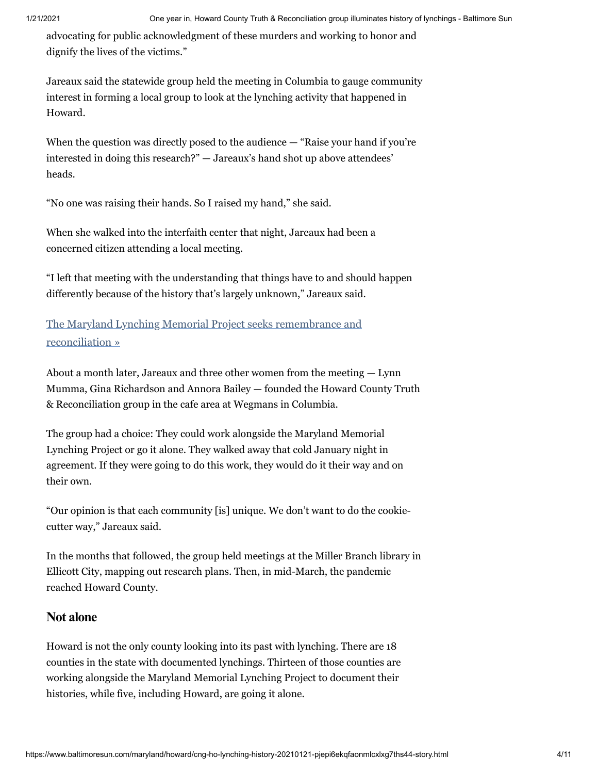advocating for public acknowledgment of these murders and working to honor and dignify the lives of the victims."

Jareaux said the statewide group held the meeting in Columbia to gauge community interest in forming a local group to look at the lynching activity that happened in Howard.

When the question was directly posed to the audience — "Raise your hand if you're interested in doing this research?" — Jareaux's hand shot up above attendees' heads.

"No one was raising their hands. So I raised my hand," she said.

When she walked into the interfaith center that night, Jareaux had been a concerned citizen attending a local meeting.

"I left that meeting with the understanding that things have to and should happen differently because of the history that's largely unknown," Jareaux said.

The Maryland Lynching Memorial Project seeks remembrance and reconciliation »

About a month later, Jareaux and three other women from the meeting — Lynn Mumma, Gina Richardson and Annora Bailey — founded the Howard County Truth & Reconciliation group in the cafe area at Wegmans in Columbia.

The group had a choice: They could work alongside the Maryland Memorial Lynching Project or go it alone. They walked away that cold January night in agreement. If they were going to do this work, they would do it their way and on their own.

"Our opinion is that each community [is] unique. We don't want to do the cookiecutter way," Jareaux said.

In the months that followed, the group held meetings at the Miller Branch library in Ellicott City, mapping out research plans. Then, in mid-March, the pandemic reached Howard County.

## **Not alone**

Howard is not the only county looking into its past with lynching. There are 18 counties in the state with documented lynchings. Thirteen of those counties are working alongside the Maryland Memorial Lynching Project to document their histories, while five, including Howard, are going it alone.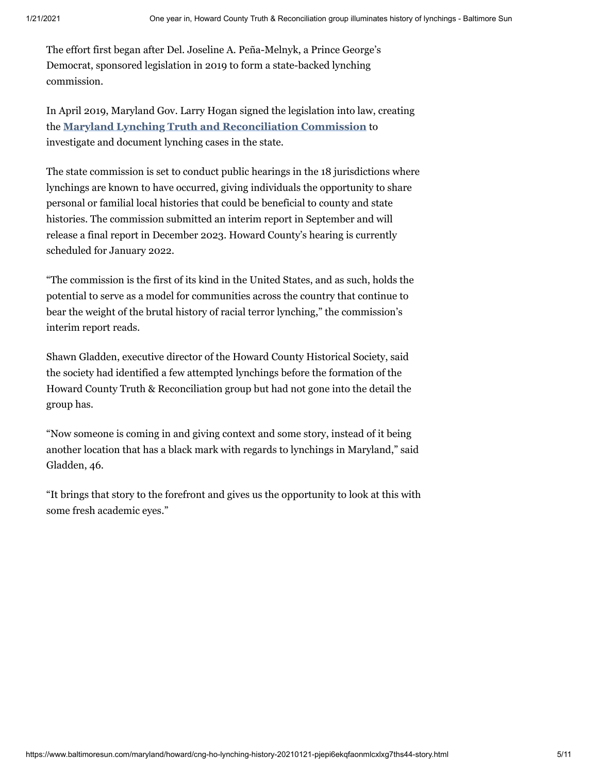The effort first began after Del. Joseline A. Peña-Melnyk, a Prince George's Democrat, sponsored legislation in 2019 to form a state-backed lynching commission.

In April 2019, Maryland Gov. Larry Hogan signed the legislation into law, creating the **Maryland Lynching Truth and Reconciliation Commission** to investigate and document lynching cases in the state.

The state commission is set to conduct public hearings in the 18 jurisdictions where lynchings are known to have occurred, giving individuals the opportunity to share personal or familial local histories that could be beneficial to county and state histories. The commission submitted an interim report in September and will release a final report in December 2023. Howard County's hearing is currently scheduled for January 2022.

"The commission is the first of its kind in the United States, and as such, holds the potential to serve as a model for communities across the country that continue to bear the weight of the brutal history of racial terror lynching," the commission's interim report reads.

Shawn Gladden, executive director of the Howard County Historical Society, said the society had identified a few attempted lynchings before the formation of the Howard County Truth & Reconciliation group but had not gone into the detail the group has.

"Now someone is coming in and giving context and some story, instead of it being another location that has a black mark with regards to lynchings in Maryland," said Gladden, 46.

"It brings that story to the forefront and gives us the opportunity to look at this with some fresh academic eyes."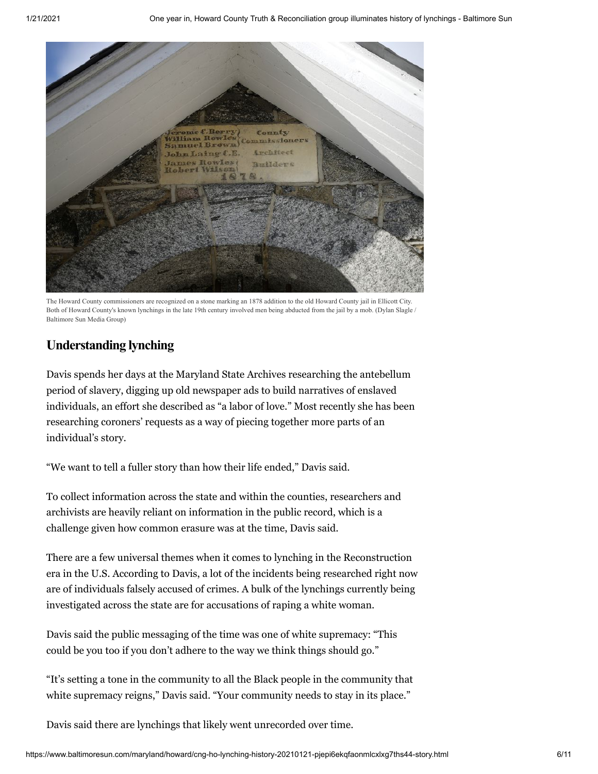

The Howard County commissioners are recognized on a stone marking an 1878 addition to the old Howard County jail in Ellicott City. Both of Howard County's known lynchings in the late 19th century involved men being abducted from the jail by a mob. (Dylan Slagle / Baltimore Sun Media Group)

# **Understanding lynching**

Davis spends her days at the Maryland State Archives researching the antebellum period of slavery, digging up old newspaper ads to build narratives of enslaved individuals, an effort she described as "a labor of love." Most recently she has been researching coroners' requests as a way of piecing together more parts of an individual's story.

"We want to tell a fuller story than how their life ended," Davis said.

To collect information across the state and within the counties, researchers and archivists are heavily reliant on information in the public record, which is a challenge given how common erasure was at the time, Davis said.

There are a few universal themes when it comes to lynching in the Reconstruction era in the U.S. According to Davis, a lot of the incidents being researched right now are of individuals falsely accused of crimes. A bulk of the lynchings currently being investigated across the state are for accusations of raping a white woman.

Davis said the public messaging of the time was one of white supremacy: "This could be you too if you don't adhere to the way we think things should go."

"It's setting a tone in the community to all the Black people in the community that white supremacy reigns," Davis said. "Your community needs to stay in its place."

Davis said there are lynchings that likely went unrecorded over time.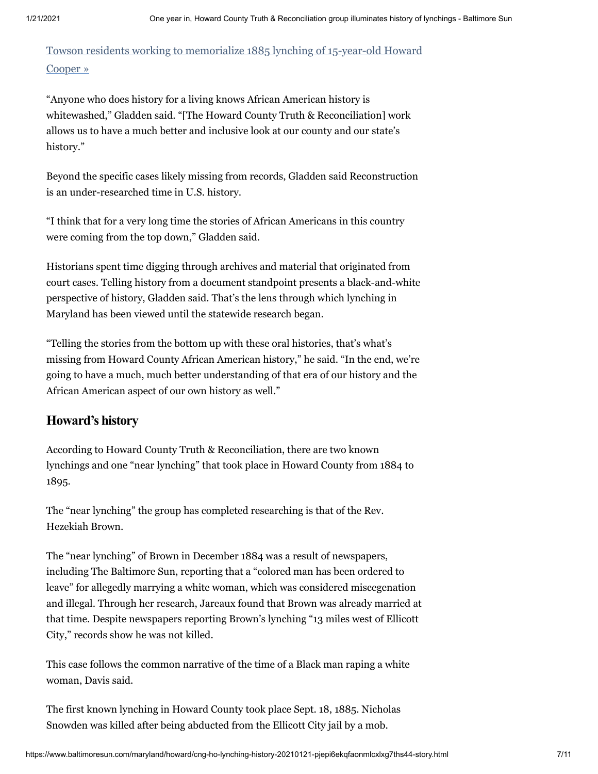Towson residents working to memorialize 1885 lynching of 15-year-old Howard Cooper »

"Anyone who does history for a living knows African American history is whitewashed," Gladden said. "[The Howard County Truth & Reconciliation] work allows us to have a much better and inclusive look at our county and our state's history."

Beyond the specific cases likely missing from records, Gladden said Reconstruction is an under-researched time in U.S. history.

"I think that for a very long time the stories of African Americans in this country were coming from the top down," Gladden said.

Historians spent time digging through archives and material that originated from court cases. Telling history from a document standpoint presents a black-and-white perspective of history, Gladden said. That's the lens through which lynching in Maryland has been viewed until the statewide research began.

"Telling the stories from the bottom up with these oral histories, that's what's missing from Howard County African American history," he said. "In the end, we're going to have a much, much better understanding of that era of our history and the African American aspect of our own history as well."

## **Howard's history**

According to Howard County Truth & Reconciliation, there are two known lynchings and one "near lynching" that took place in Howard County from 1884 to 1895.

The "near lynching" the group has completed researching is that of the Rev. Hezekiah Brown.

The "near lynching" of Brown in December 1884 was a result of newspapers, including The Baltimore Sun, reporting that a "colored man has been ordered to leave" for allegedly marrying a white woman, which was considered miscegenation and illegal. Through her research, Jareaux found that Brown was already married at that time. Despite newspapers reporting Brown's lynching "13 miles west of Ellicott City," records show he was not killed.

This case follows the common narrative of the time of a Black man raping a white woman, Davis said.

The first known lynching in Howard County took place Sept. 18, 1885. Nicholas Snowden was killed after being abducted from the Ellicott City jail by a mob.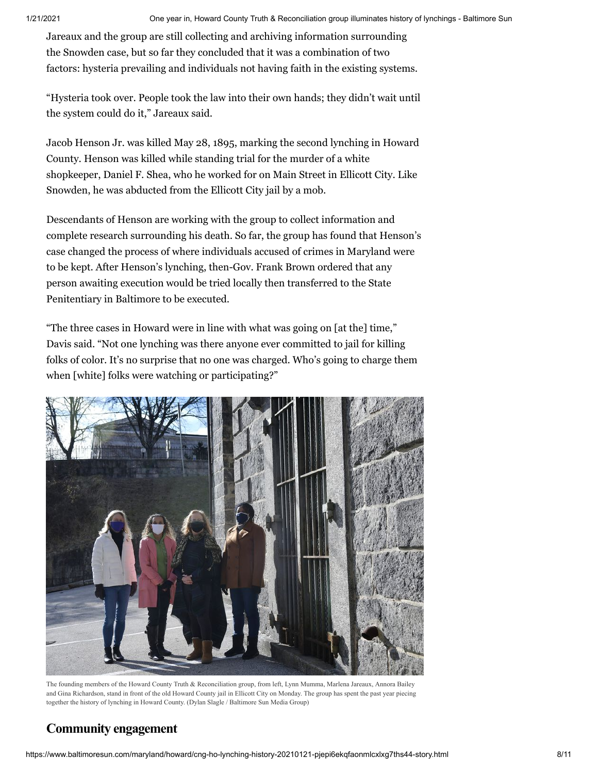Jareaux and the group are still collecting and archiving information surrounding the Snowden case, but so far they concluded that it was a combination of two factors: hysteria prevailing and individuals not having faith in the existing systems.

"Hysteria took over. People took the law into their own hands; they didn't wait until the system could do it," Jareaux said.

Jacob Henson Jr. was killed May 28, 1895, marking the second lynching in Howard County. Henson was killed while standing trial for the murder of a white shopkeeper, Daniel F. Shea, who he worked for on Main Street in Ellicott City. Like Snowden, he was abducted from the Ellicott City jail by a mob.

Descendants of Henson are working with the group to collect information and complete research surrounding his death. So far, the group has found that Henson's case changed the process of where individuals accused of crimes in Maryland were to be kept. After Henson's lynching, then-Gov. Frank Brown ordered that any person awaiting execution would be tried locally then transferred to the State Penitentiary in Baltimore to be executed.

"The three cases in Howard were in line with what was going on [at the] time," Davis said. "Not one lynching was there anyone ever committed to jail for killing folks of color. It's no surprise that no one was charged. Who's going to charge them when [white] folks were watching or participating?"



The founding members of the Howard County Truth & Reconciliation group, from left, Lynn Mumma, Marlena Jareaux, Annora Bailey and Gina Richardson, stand in front of the old Howard County jail in Ellicott City on Monday. The group has spent the past year piecing together the history of lynching in Howard County. (Dylan Slagle / Baltimore Sun Media Group)

# **Community engagement**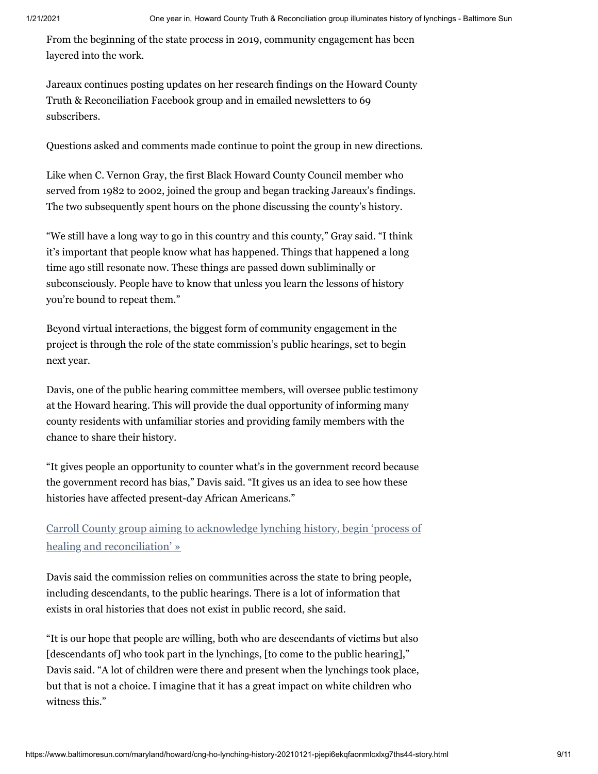From the beginning of the state process in 2019, community engagement has been layered into the work.

Jareaux continues posting updates on her research findings on the Howard County Truth & Reconciliation Facebook group and in emailed newsletters to 69 subscribers.

Questions asked and comments made continue to point the group in new directions.

Like when C. Vernon Gray, the first Black Howard County Council member who served from 1982 to 2002, joined the group and began tracking Jareaux's findings. The two subsequently spent hours on the phone discussing the county's history.

"We still have a long way to go in this country and this county," Gray said. "I think it's important that people know what has happened. Things that happened a long time ago still resonate now. These things are passed down subliminally or subconsciously. People have to know that unless you learn the lessons of history you're bound to repeat them."

Beyond virtual interactions, the biggest form of community engagement in the project is through the role of the state commission's public hearings, set to begin next year.

Davis, one of the public hearing committee members, will oversee public testimony at the Howard hearing. This will provide the dual opportunity of informing many county residents with unfamiliar stories and providing family members with the chance to share their history.

"It gives people an opportunity to counter what's in the government record because the government record has bias," Davis said. "It gives us an idea to see how these histories have affected present-day African Americans."

Carroll County group aiming to acknowledge lynching history, begin 'process of healing and reconciliation' »

Davis said the commission relies on communities across the state to bring people, including descendants, to the public hearings. There is a lot of information that exists in oral histories that does not exist in public record, she said.

"It is our hope that people are willing, both who are descendants of victims but also [descendants of] who took part in the lynchings, [to come to the public hearing]," Davis said. "A lot of children were there and present when the lynchings took place, but that is not a choice. I imagine that it has a great impact on white children who witness this."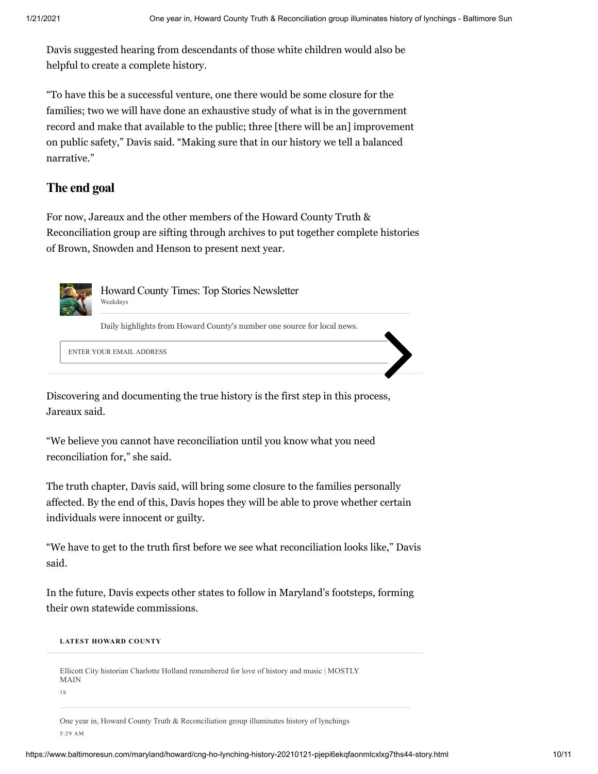Davis suggested hearing from descendants of those white children would also be helpful to create a complete history.

"To have this be a successful venture, one there would be some closure for the families; two we will have done an exhaustive study of what is in the government record and make that available to the public; three [there will be an] improvement on public safety," Davis said. "Making sure that in our history we tell a balanced narrative."

#### **The end goal**

For now, Jareaux and the other members of the Howard County Truth & Reconciliation group are sifting through archives to put together complete histories of Brown, Snowden and Henson to present next year.



 Howard County Times: Top Stories Newsletter Weekdays

Daily highlights from Howard County's number one source for local news.

ENTER YOUR EMAIL ADDRESS

Discovering and documenting the true history is the first step in this process, Jareaux said.

"We believe you cannot have reconciliation until you know what you need reconciliation for," she said.

The truth chapter, Davis said, will bring some closure to the families personally affected. By the end of this, Davis hopes they will be able to prove whether certain individuals were innocent or guilty.

"We have to get to the truth first before we see what reconciliation looks like," Davis said.

In the future, Davis expects other states to follow in Maryland's footsteps, forming their own statewide commissions.

#### **LATEST HOWARD COUNTY**

Ellicott City historian Charlotte Holland remembered for love of history and music | MOSTLY MAIN

1h

One year in, Howard County Truth & Reconciliation group illuminates history of lynchings 5:29 AM